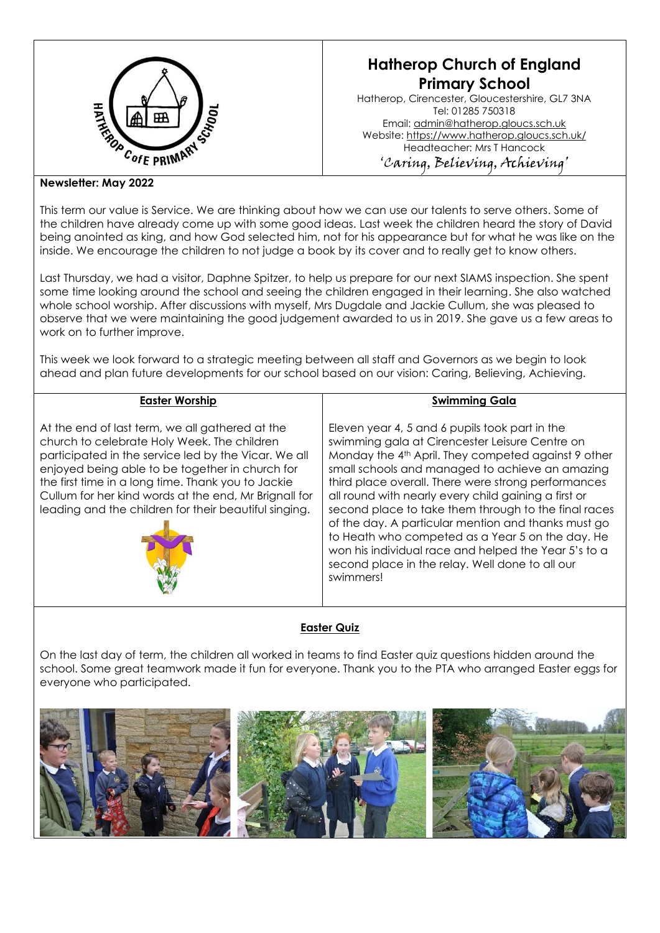

# **Hatherop Church of England Primary School**

Hatherop, Cirencester, Gloucestershire, GL7 3NA Tel: 01285 750318 Email: [admin@hatherop.gloucs.sch.uk](mailto:admin@hatherop.gloucs.sch.uk) Website:<https://www.hatherop.gloucs.sch.uk/> Headteacher: Mrs T Hancock 'Caring, Believing, Achieving'

## **Newsletter: May 2022**

This term our value is Service. We are thinking about how we can use our talents to serve others. Some of the children have already come up with some good ideas. Last week the children heard the story of David being anointed as king, and how God selected him, not for his appearance but for what he was like on the inside. We encourage the children to not judge a book by its cover and to really get to know others.

Last Thursday, we had a visitor, Daphne Spitzer, to help us prepare for our next SIAMS inspection. She spent some time looking around the school and seeing the children engaged in their learning. She also watched whole school worship. After discussions with myself, Mrs Dugdale and Jackie Cullum, she was pleased to observe that we were maintaining the good judgement awarded to us in 2019. She gave us a few areas to work on to further improve.

This week we look forward to a strategic meeting between all staff and Governors as we begin to look ahead and plan future developments for our school based on our vision: Caring, Believing, Achieving.

## **Easter Worship**

At the end of last term, we all gathered at the church to celebrate Holy Week. The children participated in the service led by the Vicar. We all enjoyed being able to be together in church for the first time in a long time. Thank you to Jackie Cullum for her kind words at the end, Mr Brignall for leading and the children for their beautiful singing.



[This](http://thegoodheart.blogspot.com/2011/04/reflecting-on-holy-week.html) 

Eleven year 4, 5 and 6 pupils took part in the swimming gala at Cirencester Leisure Centre on Monday the 4th April. They competed against 9 other small schools and managed to achieve an amazing third place overall. There were strong performances all round with nearly every child gaining a first or second place to take them through to the final races of the day. A particular mention and thanks must go to Heath who competed as a Year 5 on the day. He won his individual race and helped the Year 5's to a second place in the relay. Well done to all our swimmers!

**Swimming Gala**

# **Easter Quiz**

On the last day of term, the children all worked in teams to find Easter quiz questions hidden around the en the rest ear, entering the entire in the measurements and teams in easier speak governs measurements in experiments.  $sin \alpha + \alpha$ everyone who participated.<br>